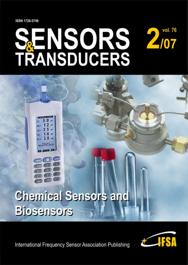**ISSN 1726-5749** 

# **SENSORS 2/07<br>TRANSDUCERS** vol. 76

# **Chemical Sensors and Biosensors**

 $1.6$   $\omega$  $3.8 -$ **District** 

**International Frequency Sensor Association Publishing** 

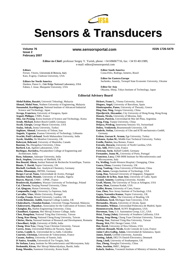

# **Sensors & Transducers**

**Volume 76 Issue 2 February 2007**

#### **www.sensorsportal.com ISSN 1726-5479**

**Editor-in-Chief:** professor Sergey Y. Yurish, phone: +34 696067716, fax: +34 93 4011989, e-mail: editor@sensorsportal.com

**Editors** 

Ferrari, Vitorio, Universitá di Brescia, Italy Katz, Evgeny, Clarkson University, USA

**Editors for North America**  Datskos, Panos G., Oak Ridge National Laboratory, USA Fabien, J. Josse, Marquette University, USA

**Editor South America**  Costa-Felix, Rodrigo, Inmetro, Brazil

**Editor for Eastern Europe**  Sachenko, Anatoly, Ternopil State Economic University, Ukraine

**Editor for Asia**  Ohyama, Shinji, Tokyo Institute of Technology, Japan

#### **Editorial Advisory Board**

**Abdul Rahim, Ruzairi,** Universiti Teknologi, Malaysia **Ahmad, Mohd Noor,** Nothern University of Engineering, Malaysia **Annamalai, Karthigeyan,** National Institute of Advanced Industrial Science and Technology, Japan **Arcega, Francisco,** University of Zaragoza, Spain **Arguel, Philippe,** CNRS, France **Ahn, Jae-Pyoung**, Korea Institute of Science and Technology, Korea **Arndt, Michael,** Robert Bosch GmbH, Germany **Ascoli, Giorgio,** George Mason University, USA **Atalay, Selcuk,** Inonu University, Turkey **Atghiaee, Ahmad,** University of Tehran, Iran **Augutis, Vygantas**, Kaunas University of Technology, Lithuania **Avachit, Patil Lalchand**, North Maharashtra University, India **Ayesh, Aladdin,** De Montfort University, UK **Bahreyni, Behraad,** University of Manitoba, Canada **Baoxian, Ye,** Zhengzhou University, China **Barford, Lee,** Agilent Laboratories, USA **Barlingay, Ravindra,** Priyadarshini College of Engineering and Architecture, India **Basu, Sukumar,** Jadavpur University, India **Beck, Stephen,** University of Sheffield, UK **Ben Bouzid, Sihem,** Institut National de Recherche Scientifique, Tunisia **Binnie, T. David,** Napier University, UK **Bischoff, Gerlinde,** Inst. Analytical Chemistry, Germany **Bodas, Dhananjay,** IMTEK, Germany **Borges Carval, Nuno,** Universidade de Aveiro, Portugal **Bousbia-Salah, Mounir,** University of Annaba, Algeria **Bouvet, Marcel,** CNRS – UPMC, France **Brudzewski, Kazimierz,** Warsaw University of Technology, Poland **Cai, Chenxin,** Nanjing Normal University, China **Cai, Qingyun,** Hunan University, China **Campanella, Luigi,** University La Sapienza, Italy **Carvalho, Vitor,** Minho University, Portugal **Cecelja, Franjo,** Brunel University, London, UK **Cerda Belmonte, Judith,** Imperial College London, UK **Chakrabarty, Chandan Kumar,** Universiti Tenaga Nasional, Malaysia **Chakravorty, Dipankar,** Association for the Cultivation of Science, India **Changhai, Ru,** Harbin Engineering University, China **Chaudhari, Gajanan,** Shri Shivaji Science College, India **Chen, Rongshun,** National Tsing Hua University, Taiwan **Cheng, Kuo-Sheng,** National Cheng Kung University, Taiwan **Chiriac, Horia,** National Institute of Research and Development, Romania **Chowdhuri, Arijit,** University of Delhi, India **Chung, Wen-Yaw,** Chung Yuan Christian University, Taiwan **Corres, Jesus,** Universidad Publica de Navarra, Spain **Cortes, Camilo A.**, Universidad de La Salle, Colombia **Courtois, Christian,** Universite de Valenciennes, France **Cusano, Andrea,** University of Sannio, Italy **D'Amico, Arnaldo,** Università di Tor Vergata, Italy **De Stefano, Luca,** Institute for Microelectronics and Microsystem, Italy **Deshmukh, Kiran,** Shri Shivaji Mahavidyalaya, Barshi, India **Kang, Moonho,** Sunmoon University, Korea South

**Dickert, Franz L.,** Vienna University, Austria **Dieguez, Angel,** University of Barcelona, Spain **Dimitropoulos, Panos,** University of Thessaly, Greece **Ding Jian, Ning,** Jiangsu University, China **Djordjevich, Alexandar,** City University of Hong Kong, Hong Kong **Donato, Nicola,** University of Messina, Italy **Donato, Patricio,** Universidad de Mar del Plata, Argentina **Dong, Feng,** Tianjin University, China **Drljaca, Predrag,** Instersema Sensoric SA, Switzerland **Dubey, Venketesh,** Bournemouth University, UK **Enderle, Stefan,** University of Ulm and KTB mechatronics GmbH, Germany **Erdem, Gursan K. Arzum,** Ege University, Turkey **Erkmen, Aydan M.,** Middle East Technical University, Turkey **Estelle, Patrice,** Insa Rennes, France **Estrada, Horacio,** University of North Carolina, USA **Faiz, Adil,** INSA Lyon, France **Fericean, Sorin**, Balluff GmbH, Germany **Fernandes, Joana M.,** University of Porto, Portugal **Francioso, Luca,** CNR-IMM Institute for Microelectronics and Microsystems, Italy **Fu, Weiling,** South-Western Hospital, Chongqing, China **Gaura, Elena,** Coventry University, UK **Geng, Yanfeng,** China University of Petroleum, China **Gole, James,** Georgia Institute of Technology, USA **Gong, Hao,** National University of Singapore, Singapore **Gonzalez de la Ros, Juan Jose,** University of Cadiz, Spain **Granel, Annette,** Goteborg University, Sweden **Graff, Mason,** The University of Texas at Arlington, USA **Guan, Shan,** Eastman Kodak, USA **Guillet, Bruno,** University of Caen, France **Guo, Zhen,** New Jersey Institute of Technology, USA **Gupta, Narendra Kumar,** Napier University, UK **Hadjiloucas, Sillas,** The University of Reading, UK **Hashsham, Syed,** Michigan State University, USA **Hernandez, Alvaro,** University of Alcala, Spain **Hernandez, Wilmar,** Universidad Politecnica de Madrid, Spain **Homentcovschi, Dorel**, SUNY Binghamton, USA **Horstman, Tom,** U.S. Automation Group, LLC, USA **Hsiai, Tzung (John),** University of Southern California, USA **Huang, Jeng-Sheng,** Chung Yuan Christian University, Taiwan **Huang, Star,** National Tsing Hua University, Taiwan **Huang, Wei,** PSG Design Center, USA **Hui, David,** University of New Orleans, USA **Jaffrezic-Renault, Nicole,** Ecole Centrale de Lyon, France **Jaime Calvo-Galleg, Jaime,** Universidad de Salamanca, Spain **James, Daniel,** Griffith University, Australia **Janting, Jakob,** DELTA Danish Electronics, Denmark **Jiang, Liudi,** University of Southampton, UK **Jiao, Zheng,** Shanghai University, China **John, Joachim,** IMEC, Belgium **Kalach, Andrew,** Voronezh Institute of Ministry of Interior, Russia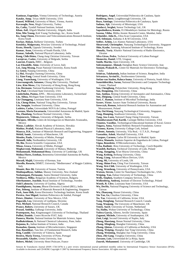**Kaniusas, Eugenijus,** Vienna University of Technology, Austria **Katake, Anup**, Texas A&M University, USA **Kausel, Wilfried,** University of Music, Vienna, Austria **Kavasoglu, Nese,** Mugla University, Turkey **Ke, Cathy,** Tyndall National Institute, Ireland **Khan, Asif,** Aligarh Muslim University, Aligarh, India **Kim, Min Young,** Koh Young Technology, Inc., Korea South **Ko, Sang Choon,** Electronics and Telecommunications Research Institute, Korea South **Kockar, Hakan,** Balikesir University, Turkey **Kotulska, Malgorzata,** Wroclaw University of Technology, Poland **Kratz, Henrik,** Uppsala University, Sweden **Kumar, Arun,** University of South Florida, USA **Kumar, Subodh,** National Physical Laboratory, India **Kung, Chih-Hsien,** Chang-Jung Christian University, Taiwan **Lacnjevac, Caslav,** University of Belgrade, Serbia **Laurent, Francis,** IMEC , Belgium **Lay-Ekuakille, Aime,** University of Lecce, Italy **Lee, Jang Myung,** Pusan National University, Korea South **Li, Genxi,** Nanjing University, China **Li, Hui,** Shanghai Jiaotong University, China **Li, Xian-Fang,** Central South University, China **Liang, Yuanchang,** University of Washington, USA **Liawruangrath, Saisunee,** Chiang Mai University, Thailand **Liew, Kim Meow,** City University of Hong Kong, Hong Kong **Lin, Hermann**, National Kaohsiung University, Taiwan **Lin, Paul**, Cleveland State University, USA **Linderholm, Pontus,** EPFL - Microsystems Laboratory, Switzerland **Liu, Aihua,** Michigan State University, USA **Liu Changgeng,** Louisiana State University, USA **Liu, Cheng-Hsien**, National Tsing Hua University, Taiwan **Liu, Songqin**, Southeast University, China **Lodeiro, Carlos,** Universidade NOVA de Lisboa, Portugal **Lorenzo, Maria Encarnacio**, Universidad Autonoma de Madrid, Spain **Ma, Zhanfang,** Northeast Normal University, China **Majstorovic, Vidosav,** University of Belgrade, Serbia **Marquez, Alfredo,** Centro de Investigacion en Materiales Avanzados, Mexico **Matay, Ladislav**, Slovak Academy of Sciences, Slovakia **Mathur, Prafull,** National Physical Laboratory, India **Maurya, D.K.,** Institute of Materials Research and Engineering, Singapore **Mekid, Samir**, University of Manchester, UK **Mendes, Paulo,** University of Minho, Portugal **Mennell, Julie,** Northumbria University, UK **Mi, Bin**, Boston Scientific Corporation, USA **Minas, Graca,** University of Minho, Portugal **Moghavvemi, Mahmoud,** University of Malaya, Malaysia **Mohammadi, Mohammad-Reza**, University of Cambridge, UK **Molina Flores, Esteban,** Benemirita Universidad Autonoma de Puebla, Mexico **Moradi, Majid,** University of Kerman, Iran **Morello, Rosario,** DIMET, University "Mediterranea" of Reggio Calabria, Italy **Mounir, Ben Ali,** University of Sousse, Tunisia **Mukhopadhyay, Subhas**, Massey University, New Zealand **Neelamegam, Periasamy**, Sastra Deemed University, India **Neshkova, Milka**, Bulgarian Academy of Sciences, Bulgaria **Oberhammer, Joachim**, Royal Institute of Technology, Sweden **Ould Lahoucin,** University of Guelma, Algeria **Pamidighanta, Sayanu,** Bharat Electronics Limited (BEL), India **Pan, Jisheng,** Institute of Materials Research & Engineering, Singapore **Park, Joon-Shik,** Korea Electronics Technology Institute, Korea South **Pereira, Jose Miguel**, Instituto Politecnico de Setebal, Portugal **Petsev, Dimiter**, University of New Mexico, USA **Pogacnik, Lea**, University of Ljubljana, Slovenia **Post, Michael,** National Research Council, Canada **Prance, Robert,** University of Sussex, UK **Prasad, Ambika,** Gulbarga University, India **Prateepasen, Asa**, Kingmoungut's University of Technology, Thailand **Pullini, Daniele**, Centro Ricerche FIAT, Italy **Pumera, Martin**, National Institute for Materials Science, Japan **Radhakrishnan, S.** National Chemical Laboratory, Pune, India **Rajanna, K.,** Indian Institute of Science, India **Ramadan, Qasem,** Institute of Microelectronics, Singapore **Rao, Basuthkar,** Tata Inst. of Fundamental Research, India **Reig, Candid**, University of Valencia, Spain **Restivo, Maria Teresa,** University of Porto, Portugal **Rezazadeh, Ghader,** Urmia University, Iran **Robert, Michel**, University Henri Poincare, France

**Rodriguez, Angel**, Universidad Politecnica de Cataluna, Spain **Rothberg, Steve**, Loughborough University, UK **Royo, Santiago**, Universitat Politecnica de Catalunya, Spain **Sadana, Ajit**, University of Mississippi, USA **Sandacci, Serghei,** Sensor Technology Ltd., UK **Sapozhnikova, Ksenia**, D.I.Mendeleyev Institute for Metrology, Russia **Saxena, Vibha**, Bhbha Atomic Research Centre, Mumbai, India **Schneider, John K.,** Ultra-Scan Corporation, USA **Seif, Selemani,** Alabama A & M University, USA **Seifter, Achim,** Los Alamos National Laboratory, USA **Shearwood, Christopher**, Nanyang Technological University, Singapore **Shin, Kyuho**, Samsung Advanced Institute of Technology, Korea **Shmaliy, Yuriy**, Kharkiv National University of Radio Electronics, Ukraine **Silva Girao, Pedro**, Technical University of Lisbon Portugal **Slomovitz, Daniel**, UTE, Uruguay **Smith, Martin,** Open University, UK **Soleymanpour, Ahmad,** Damghan Basic Science University, Iran **Somani, Prakash R.,** Centre for Materials for Electronics Technology, India **Srinivas, Talabattula,** Indian Institute of Science, Bangalore, India **Srivastava, Arvind K.,** Northwestern University **Stefan-van Staden, Raluca-Ioana**, University of Pretoria, South Africa **Sumriddetchka, Sarun,** National Electronics and Computer Technology Center, Thailand **Sun, Chengliang,** Polytechnic University, Hong-Kong **Sun, Dongming,** Jilin University, China **Sun, Junhua,** Beijing University of Aeronautics and Astronautics, China **Sun, Zhiqiang,** Central South University, China **Suri, C. Raman,** Institute of Microbial Technology, India **Sysoev, Victor**, Saratov State Technical University, Russia **Szewczyk, Roman,** Industrial Research Institute for Automation and Measurement, Poland **Tan, Ooi Kiang,** Nanyang Technological University, Singapore, **Tang, Dianping,** Southwest University, China **Tang, Jaw-Luen,** National Chung Cheng University, Taiwan **Thumbavanam Pad, Kartik**, Carnegie Mellon University, USA **Tsiantos, Vassilios**, Technological Educational Institute of Kaval, Greece **Tsigara, Anna,** National Hellenic Research Foundation, Greece **Twomey, Karen,** University College Cork, Ireland **Valente, Antonio,** University, Vila Real, - U.T.A.D., Portugal **Vaseashta, Ashok**, Marshall University, USA **Vazques, Carmen,** Carlos III University in Madrid, Spain **Vieira, Manuela**, Instituto Superior de Engenharia de Lisboa, Portugal **Vigna, Benedetto**, STMicroelectronics, Italy **Vrba, Radimir**, Brno University of Technology, Czech Republic **Wandelt, Barbara**, Technical University of Lodz, Poland **Wang, Jiangping,** Xi'an Shiyou University, China **Wang, Kedong,** Beihang University, China **Wang, Liang**, Advanced Micro Devices, USA **Wang, Mi,** University of Leeds, UK **Wang, Shinn-Fwu,** Ching Yun University, Taiwan **Wang, Wei-Chih**, University of Washington, USA **Wang, Wensheng,** University of Pennsylvania, USA **Watson, Steven,** Center for NanoSpace Technologies Inc., USA **Weiping, Yan,** Dalian University of Technology, China **Wells, Stephen,** Southern Company Services, USA **Wolkenberg, Andrzej,** Institute of Electron Technology, Poland **Woods, R. Clive**, Louisiana State University, USA **Wu, DerHo,** National Pingtung University of Science and Technology, Taiwan **Wu, Zhaoyang,** Hunan University, China **Xiu Tao, Ge,** Chuzhou University, China **Xu, Tao**, University of California, Irvine, USA **Yang, Dongfang**, National Research Council, Canada **Yang, Wuqiang,** The University of Manchester, UK **Ymeti, Aurel**, University of Twente, Netherland **Yu, Haihu,** Wuhan University of Technology, China **Yufera Garcia,** Alberto, Seville University, Spain **Zagnoni, Michele,** University of Southampton, UK **Zeni, Luigi**, Second University of Naples, Italy **Zhong, Haoxiang,** Henan Normal University, China **Zhang, Minglong,** Shanghai University, China **Zhang, Qintao,** University of California at Berkeley, USA **Zhang, Weiping,** Shanghai Jiao Tong University, China **Zhang, Wenming,** Shanghai Jiao Tong University, China

Sensors & Transducers Journal (ISSN 1726-5479) is a peer review international journal published monthly online by International Frequency Sensor Association (IFSA). Available in electronic and CD-ROM. Copyright © 2007 by International Frequency Sensor Association. All rights reserved.

**Zhou, Zhi-Gang**, Tsinghua University, China **Zorzano, Luis,** Universidad de La Rioja, Spain **Zourob, Mohammed**, University of Cambridge, UK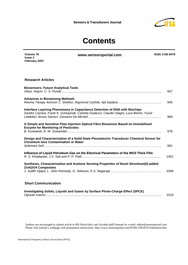

## **Contents**

**Volume 76 Issue 2 February 2007** **www.sensorsportal.com ISSN 1726-5479** 

#### **Research Articles**

| <b>Biosensors: Future Analytical Tools</b>                                                                                                                              | 937  |
|-------------------------------------------------------------------------------------------------------------------------------------------------------------------------|------|
| <b>Advances in Biosensing Methods</b>                                                                                                                                   | 945  |
| Interface Layering Phenomena in Capacitance Detection of DNA with Biochips<br>Sandro Carrara, Frank K. Gürkaynak, Carlotta Guiducci, Claudio Stagni, Luca Benini, Yusuf | 969  |
| A Simple and Sensitive Flow Injection Optical Fibre Biosensor Based on Immobilised<br><b>Enzyme for Monitoring of Pesticides</b>                                        | 978  |
| Design and Characterization of a Solid-State Piezoelectric Transducer Chemical Sensor for<br><b>Chromium Ions Contamination in Water</b>                                | 991  |
| Influence of Liquid Petroleum Gas on the Electrical Parameters of the WO3 Thick Film                                                                                    | 1001 |
| Synthesis, Characterization and Acetone Sensing Properties of Novel Strontium(II)-added<br><b>ZnAI2O4 Composites</b>                                                    |      |
|                                                                                                                                                                         | 1008 |

#### **Short Communication**

| Investigating Solids, Liquids and Gases by Surface Photo-Charge Effect (SPCE) |      |
|-------------------------------------------------------------------------------|------|
|                                                                               | 1018 |

Authors are encouraged to submit article in MS Word (doc) and Acrobat (pdf) formats by e-mail: editor@sensorsportal.com Please visit journal's webpage with preparation instructions: http://www.sensorsportal.com/HTML/DIGEST/Submition.htm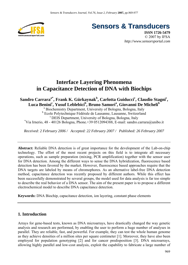

**Sensors & Transducers** 

**ISSN 1726-5479** © 2007 by IFSA *http://www.sensorsportal.com*

### **Interface Layering Phenomena in Capacitance Detection of DNA with Biochips**

#### $\mathbf{S}$ andro Carrara $\mathbf{a}^*$ , Frank **K.** Gürkaynak $\mathbf{b}$ , Carlotta Guiducci $\mathbf{c}$ , Claudio Stagni $\mathbf{c}$ , Luca Benini<sup>c</sup>, Yusuf Leblebici<sup>b</sup>, Bruno Samorìª, Giovanni De Micheli<sup>b</sup>

a Biochemistry Department, University of Bologna, Bologna, Italy <sup>b</sup> Ecole Polytechnique Fédérale de Lausanne, Lausanne, Switzerland<br>
<sup>c</sup> DEIS Department, University of Bologna, Bologna, Italy<br>
<sup>\*</sup>Vie Iracije 48, 40126 Bologna, Phone 120,0512004288, E mail: sandre serrer <sup>\*</sup>Via Irnerio, 48 - 40126 Bologna, Phone. +39 0512094388, E-mail: sandro.carrara@unibo.it

*Received: 2 February 2006 / Accepted: 22 February 2007 / Published: 26 February 2007* 

**Abstract:** Reliable DNA detection is of great importance for the development of the Lab-on-chip technology. The effort of the most recent projects on this field is to integrate all necessary operations, such as sample preparation (mixing, PCR amplification) together with the sensor user for DNA detection. Among the different ways to sense the DNA hybridization, fluorescence based detection has been favored by the market. However, fluorescence based approaches require that the DNA targets are labeled by means of chromophores. As an alternative label-free DNA detection method, capacitance detection was recently proposed by different authors. While this effect has been successfully demonstrated by several groups, the model used for data analysis is far too simple to describe the real behavior of a DNA sensor. The aim of the present paper is to propose a different electrochemical model to describe DNA capacitance detection.

**Keywords:** DNA Biochip, capacitance detection, ion layering, constant phase elements

#### **1. Introduction**

Arrays for gene-based tests, known as DNA microarrays, have drastically changed the way genetic analysis and research are performed, by enabling the user to perform a huge number of analyses in parallel. They are reliable, fast, and powerful. For example, they can test the whole human genome as they achieve densities of a million sites per square centimeter [1]. Moreover, they have also been employed for population genotyping [2] and for cancer predisposition [3]. DNA microarrays, allowing highly parallel and low-cost analysis, exploit the capability to fabricate a large number of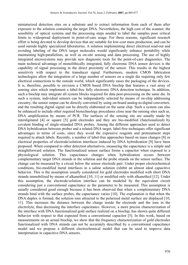miniaturized detection sites on a substrate and to extract information from each of them after exposure to the solution containing the target DNA. Nevertheless, the high cost of the scanner, the sensibility of optical systems and the processing steps needed to label the samples pose critical limits to widespread deployment in point-of-care usage. For these reasons, significant research effort is being devoted to develop devices that are suitable for low-cost mass production, and can be used outside highly specialized laboratories. A solution implementing direct electrical read-out and avoiding labeling of the DNA target molecules would significantly enhance portability while maintaining high-parallelism, as well as on-site sensing and data processing. The use of highly integrated microsystems may provide new diagnostic tools for the point-of-care diagnostics. The main technical advantage of monolithically integrated, fully electronic DNA sensor devices is the capability of signal processing in the direct proximity of the sensor. This results in the highest sensitivity with respect to the transducer signal. Furthermore, modern CMOS fabrication technologies allow the integration of a large number of sensors on a single die requiring only few electrical connections to the outside world, which significantly eases the packaging of the devices. It is, therefore, possible to envision a CMOS based DNA biochip that features a vast array of sensing sites which implement a label-free fully electronic DNA detection technique. In addition, such a biochip may integrate all system blocks required for data post-processing on the same die. In such a system, individual sensors can be independently selected by means of on-chip addressing circuitry, the sensor output can be directly converted by using on-board analog-to-digital converters, and the resulting digital signal can be directly elaborated on the same chip. Such a system can also be enhanced to include other required biotechnology procedures close near the sensing sites such as, DNA amplification by means of PCR. The surfaces of the sensing site are usually made by interdigitated [4] or square [5] gold electrodes and they are bio-modified (functionalized) by covalent binding of single-stranded DNA probes. Among the different approaches used to detect DNA hybridization between probes and a related DNA target, label-free techniques offer significant advantages in terms of costs, since they avoid the expensive reagents and pretreatment steps required to attach labels. Recently, a number of label-free approaches based on mass changes [8] or electrical properties of electrode/solution interfaces induced by DNA hybridization [9] have been proposed. When compared to other detection alternatives, measuring the capacitance is a simple and straightforward solution. The functionalized sensor surface forms a capacitor when exposed to a physiological solution. This capacitance changes when hybridization occurs between complementary target DNA strands in the solution and the probe strands on the sensor surface. The change can be measured by a circuit below the sensor electrode pair. Under proper electrochemical conditions, bio-modified metal interfaces in a saline solution exhibit an almost ideal capacitive behavior. This is the assumption usually considered for gold electrodes modified with short DNA strands immobilized by means of alkanethiol [10, 11] or modified only with alkanethiol [12]. Under this assumption, the electrode/solution interface can be modeled by the equivalent circuit considering just a conventional capacitance as the parameter to be measured. This assumption is usually considered good enough because it has been observed that when a complementary DNA strands bind with the surface probes, the capacitance varies [10]. The explanation is that when the DNA duplex is formed, the solution ions attracted to the polarized metal surface are displaced [10, 11]. This increases the distance between the charge inside the electrode and the ions in the electrolyte, thus decreasing the interface capacitance. However, a more precise characterization of the interface with DNA functionalized gold surface realized on a biochip, has shown quite different behavior with respect to that expected from a conventional capacitor [5]. In this work, based on measurements on an actual biochip, we show that the frequency characterization of gold electrodes functionalized with DNA strands can not be accurately described by a conventional capacitance model and we propose a different electrochemical model that can be used to improve data interpretation in capacitive DNA sensors.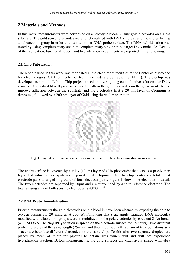#### **2 Materials and Methods**

In this work, measurements were performed on a prototype biochip using gold electrodes on a glass substrate. The gold sensor electrodes were functionalized with DNA single strand molecules having an alkanethiol group in order to obtain a proper DNA probe surface. The DNA hybridization was tested by using complementary and non-complementary single strand target DNA molecules Details of the fabrication, functionalization, and hybridization experiments are reported in the following.

#### **2.1 Chip Fabrication**

The biochip used in this work was fabricated in the clean room facilities at the Center of Micro and Nanotechnologies (CMI) of Ecole Polytechnique Fédérale de Lausanne (EPFL). The biochip was developed as part of a Lab-on-Chip project aimed on investigating cost-effective solutions for DNA sensors. A standard lift-off process is used to pattern the gold electrodes on the glass substrate. To improve adhesion between the substrate and the electrodes first a 20 nm layer of Cromium is deposited, followed by a 200 nm layer of Gold using thermal evaporation.



**Fig. 1.** Layout of the sensing electrodes in the biochip. The rulers show dimensions in  $\mu$ m.

The entire surface is covered by a thick (10µm) layer of SU8 photoresist that acts as a passivation layer. Individual sensor spots are exposed by developing SU8. The chip contains a total of 64 electrode pairs arranged in groups of four electrode pairs. Figure 1 shows one electrode in detail. The two electrodes are separated by 10µm and are surrounded by a third reference electrode. The total sensing area of both sensing electrodes is  $4,800 \mu m^2$ 

#### **2.2 DNA Probe Immobilization**

Prior to measurements the gold electrodes on the biochip have been cleaned by exposing the chip to oxygen plasma for 20 minutes at 200 W. Following this step, single stranded DNA molecules modified with alkanethiol groups were immobilized on the gold electrodes by covalent S-Au bonds (a 3  $\mu$ M DNA 1 M Na<sub>2</sub>HPO<sub>4</sub> solution is spread on the electrode surface for 18 hours). Two different probe molecules of the same length (25-mer) and thiol modified with a chain of 6 carbon atoms as a spacer are bound to different electrodes on the same chip. To this aim, two separate droplets are placed by mean of microliter pipettes to obtain sites which will and will not experience hybridization reaction. Before measurements, the gold surfaces are extensively rinsed with ultra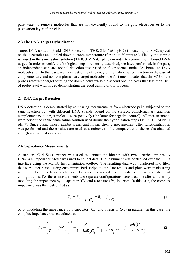pure water to remove molecules that are not covalently bound to the gold electrodes or to the passivation layer of the chip.

#### **2.3 The DNA Target Hybridization**

Target DNA solution (3 µM DNA 30-mer and TE 0, 3 M NaCl pH 7) is heated up to 80◦C, spread on the electrodes and cooled down to room temperature (for about 30 minutes). Finally the sample is rinsed in the same saline solution (TE 0, 3 M NaCl pH 7) in order to remove the unbound DNA target. In order to verify the biological steps previously described, we have performed, in the past, an independent standard optical detection test based on fluorescence molecules bound to DNA molecules [5]. In that case, we have tested the efficiency of the hybridization reaction in the case of complementary and non complementary target molecules: the first one indicates that the 80% of the probes react with target forming the double helix while the second one indicates that less than 10% of probe react with target, demonstrating the good quality of our process.

#### **2.4 DNA Target Detection**

DNA detection is demonstrated by comparing measurements from electrode pairs subjected to the same reaction but with different DNA strands bound on the surface, complementary and non complementary to target molecules, respectively (the latter for negative control). All measurements were performed in the same saline solution used during the hybridization step (TE 1X 0, 3 M NaCl pH 7). Since capacitances exhibit significant mismatches, a measurement after functionalization was performed and these values are used as a reference to be compared with the results obtained after (tentative) hybridization.

#### **2.4 Capacitance Measurements**

A standard Carl Suess prober was used to contact the biochip with two electrical probes. A HP4284A Impedance Meter was used to collect data. The instrument was controlled over the GPIB interface using the Matlab Instrumentation toolbox. The resulting data was transferred into files, that were later parsed using customized Perl scripts to tabulate results and plots were made using gnuplot. The impedance meter can be used to record the impedance in several different configurations. For these measurements two separate configurations were used one after another: by modeling the impedance by a capacitor (*Cs*) and a resistor (*Rs*) in series. In this case, the complex impedance was then calculated as:

$$
Z_s = R_s + \frac{1}{j\omega C_s} = R_s - j\frac{1}{\omega C_s}
$$
 (1)

or by modeling the impedance by a capacitor (*Cp*) and a resistor (*Rp*) in parallel. In this case, the complex impedance was calculated as:

$$
Z_{p} = \left(\frac{1}{R_{p}} + j\omega C_{p}\right)^{-1} = \frac{R_{p}}{1 + j\omega R_{p}C_{p}} = \frac{R_{p}}{1 - \omega^{2}R_{p}^{2}C_{p}^{2}} - j\frac{\omega R_{p}^{2}C_{p}}{1 - \omega^{2}R_{p}^{2}C_{p}^{2}}
$$
(2)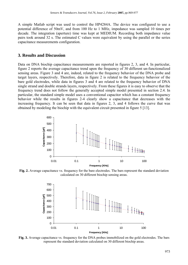A simple Matlab script was used to control the HP4284A. The device was configured to use a potential difference of 50mV, and from 100 Hz to 1 MHz, impedance was sampled 10 times per decade. The integration (aperture) time was kept at MEDIUM. Recording both impedance value pairs took around 32 s. The estimated C values were equivalent by using the parallel or the series capacitance measurements configuration.

#### **3. Results and Discussion**

Data on DNA biochip capacitance measurements are reported in figures 2, 3, and 4. In particular, figure 2 reports the average capacitance trend upon the frequency of 30 different un-functionalized sensing areas. Figure 3 and 4 are, indeed, related to the frequency behavior of the DNA probe and target layers, respectively. Therefore, data in figure 2 is related to the frequency behavior of the bare gold electrodes, while data in figures 3 and 4 are related to the frequency behavior of DNA single strand and double strands layers, respectively. From these figures it is easy to observe that the frequency trend does not follow the generally accepted simple model presented in section 2.4. In particular, the standard simple model uses a conventional capacitor which has a constant frequency behavior while the results in figures 2-4 clearly show a capacitance that decreases with the increasing frequency. It can be seen that data in figures 2, 3, and 4 follows the curve that was obtained by modeling the biochip with the equivalent circuit presented in figure 5 [13].



**Fig. 2.** Average capacitance vs. frequency for the bare electrodes. The bars represent the standard deviation calculated on 30 different biochip sensing areas.



**Fig. 3.** Average capacitance vs. frequency for the DNA probes immobilized on the gold electrodes. The bars represent the standard deviation calculated on 30 different biochip areas.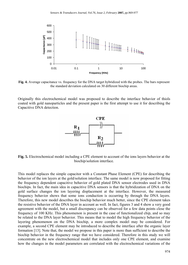

**Fig. 4.** Average capacitance vs. frequency for the DNA target hybridized with the probes. The bars represent the standard deviation calculated on 30 different biochip areas.

Originally this electrochemical model was proposed to describe the interface behavior of thiols coated with gold nanoparticles and the present paper is the first attempt to use it for describing the Capacitive DNA detection.



**Fig. 5.** Electrochemical model including a CPE element to account of the ions layers behavior at the biochip/solution interface.

This model replaces the simple capacitor with a Constant Phase Element (CPE) for describing the behavior of the ion layers at the gold/solution interface. The same model is now proposed for fitting the frequency dependent capacitive behavior of gold plated DNA sensor electrodes used in DNA biochips. In fact, the main idea in capacitive DNA sensors is that the hybridization of DNA on the gold surface changes the ion layering displacement at the interface. However, the measured frequency behavior shows that some ions conduction is occurring by through the DNA layers. Therefore, this new model describes the biochip behavior much better, since the CPE element takes the resistive behavior of the DNA layer in account as well. In fact, figures 3 and 4 show a very good agreement with the model, but a small discrepancy can be observed for a few data points close the frequency of 100 KHz. This phenomenon is present in the case of functionalized chip, and so may be related to the DNA layer behavior. This means that to model the high frequency behavior of the layering phenomenon on the DNA biochip, a more complex model may be considered. For example, a second CPE element may be introduced to describe the interface after the organic layer formation [13]. Note that, the model we propose in this paper is more than sufficient to describe the biochip behavior in the frequency range that we have considered. Therefore in this study we will concentrate on the new electrochemical model that includes only one CPE element, and examine how the changes in the model parameters are correlated with the electrochemical variations of the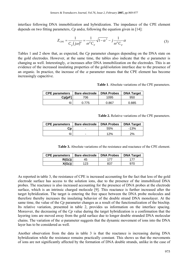interface following DNA immobilization and hybridization. The impedance of the CPE element depends on two fitting parameters,  $C_p$  and $\alpha$ , following the equation given in [14]:

$$
Z_{CPE} = \frac{1}{C_p(j\omega)^{\alpha}} = \frac{1}{\omega^{\alpha}C_p} \sqrt{1 - \alpha^2} - j\frac{1}{\omega^{\alpha}C_p} \alpha
$$
 (3)

Tables 1 and 2 show that, as expected, the *Cp* parameter changes depending on the DNA state on the gold electrodes. However, at the same time, the tables also indicate that the  $\alpha$  parameter is changing as well. Interestingly,  $\alpha$  increases after DNA immobilization on the electrodes. This is an evidence of the increased insulating properties of the gold/solution interface due to the presence of an organic. In practice, the increase of the  $\alpha$  parameter means that the CPE element has become increasingly capacitive.

**Table 1**. Absolute variations of the CPE parameters.

| <b>CPE parameters</b> | Bare electrode | <b>DNA Probes</b> | <b>DNA Target</b> |
|-----------------------|----------------|-------------------|-------------------|
| <b>Cp[pF]</b>         | 706            | 1095              | 950               |
| α                     | በ 775          | 0.867             | 0.885             |

**Table 2.** Relative variations of the CPE parameters.

| <b>CPE parameters</b> | <b>Bare electrode</b> | <b>DNA Probes</b> | <b>DNA Target</b> |
|-----------------------|-----------------------|-------------------|-------------------|
| Cɒ                    | -                     | 55%               | $-13%$            |
| α                     | -                     | 12%               | $2\%$             |

**Table 3.** Absolute variations of the resistance and reactance of the CPE element.

| <b>CPE</b> parameters | <b>Bare electrode</b> | <b>DNA Probes</b> | <b>DNA Target</b> |
|-----------------------|-----------------------|-------------------|-------------------|
| $R(G\Omega)$          | 45                    | 177               |                   |
| $X(G\Omega)$          | 123                   | 837               | 970               |

As reported in table 3, the resistance of CPE is increased accounting for the fact that less of the gold electrode surface has access to the solution ions, due to the presence of the immobilized DNA probes. The reactance is also increased accounting for the presence of DNA probes at the electrode surface, which is an intrinsic charged molecule [9]. This reactance is further increased after the target hybridization. The target is entering the free space between the DNA probe molecules and therefore thereby increases the insulating behavior of the double strand DNA monolayer. At the same time, the value of the *Cp* parameter changes as a result of the functionalization of the biochip. Its relative variation, presented in table 2, provides us information on the interface spacing. Moreover, the decreasing of the *Cp* value during the target hybridization is a confirmation that the layering ions are moved away from the gold surface due to longer double stranded DNA molecular chains. The variation of the  $\alpha$  parameter suggests that the dynamic movement of ions into the DNA layer has to be considered as well.

Another observation from the data in table 3 is that the reactance is increasing during DNA hybridization while the resistance remains practically constant. This shows us that the movements of ions are not significantly affected by the formation of DNA double strands, unlike in the case of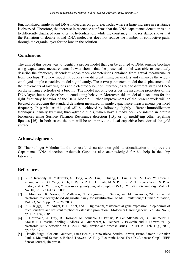functionalized single strand DNA molecules on gold electrodes where a large increase in resistance is observed. Therefore, the increase in reactance confirms that the DNA capacitance detection is due to differently displaced ions after the hybridization, while the constancy in the resistance shows that the formation of double strand DNA molecules does not reduce the number of conductive paths through the organic layer for the ions in the solution.

#### **Conclusions**

The aim of this paper was to identify a proper model that can be applied to DNA sensing biochips using capacitance measurements. It was shown that the presented model was able to accurately describe the frequency dependent capacitance characteristics obtained from actual measurements from biochips. The new model introduces two different fitting parameters and enhances the widely employed simple capacitive model significantly. These two parameters model the displacement and the movements of layering ions at the electrode/solution interface, as due to different states of DNA on the sensing electrodes of a biochip. The model not only describes the insulating properties of the DNA layer, but also describes its conducting behavior. Moreover, this model also accounts for the right frequency behavior of the DNA biochip. Further improvements of the present work will be focused on reducing the standard deviation measured in single capacitance measurements per fixed frequency. In particular, this goal will be achieved by following slightly different immobilization techniques, namely by using three-glycole thiols, which have already been considered in protein biosensors using Surface Plasmon Resonance detection [15], or by modifying other repelling lipoates [16]. In both cases, the aim will be to improve the ideal capacitive behavior of the gold surface.

#### **Acknowledgments**

SC Thanks Inger Vikholm-Lundin for useful discussions on gold functionalization to improve the Capacitance DNA detection. Ashutosh Gupta is also acknowledged for his help in the chip fabrication.

#### **References**

- [1]. G. C. Kennedy, H. Matsuzaki, S. Dong, W.-M. Liu, J. Huang, G. Liu, X. Su, M. Cao, W. Chen, J. Zhang, W. Liu, G. Yang, X. Di, T. Ryder, Z. He, U. Surti, M. S. Phillips, M. T. Boyce-Jacino, S. P. A. Fodor, and K. W. Jones, "Large-scale genotyping of complex DNA," *Nature Biotechnology*, Vol. 21, No. 10, pp. 1233–1237, 2003.
- [2]. S. Mouterau, R. Narwa, C. Matheron, N. Vongmany, E. Simon, and M. Goossens, "An improved electronic microarray-based diagnostic assay for identification of MEF mutations," Human Mutation, Vol. 23, No. 6, pp. 621–628, 2004.
- [3]. P. K. Riggs, J. M. Angel, E. L. Abel, and J. Digiovanni, "Differential gene expression in epidermis of mice sensitive and resistant to phorbol ester skin promotion," Molecular Carcinogenesis, Vol. 44, No. 2, pp. 122–136, 2005.
- [4]. F. Hoffmann, A. Frey, B. Holzapfl, M. Schienle, C. Paulus, P. Schindler-Bauer, D. Kuhlmeier, J. Krause, E. Hintsche, Nebling, J.Albers, W. Gumbrecht, K. Plehnert, G. Eckstein, and R. Thewes, "Fully electronic DNA detection on a CMOS chip: device and process issues," in IEDM Tech. Dig., 2002, pp. 488–491.
- [5]. Claudio Stagni, Carlotta Guiducci, Luca Benini, Bruno Riccò, Sandro Carrara, Bruno Samorì, Christian Paulus, Meinrad Schienle, Roland Thewes: "A Fully-Electronic Label-Free DNA sensor Chip", IEEE Sensor Journal, (in press).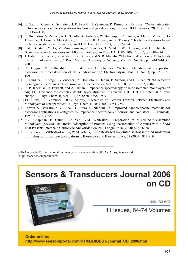- [6]. R. Gabl, E. Green, M. Schreiter, H. D. Feucht, H. Zeininger, R. Primig, and D. Pitzer, "Novel integrated FBAR sensors: a universal platform for bio- and gas detection," in Proc. IEEE Sensors, 2003, Vol. 2, pp. 1184–1188.
- [7]. R. Brederlow, S. Zauner, A. L. Scholtz, K. Aufinger, W. Simburger, C. Paulus, A. Martin, M. Fritz, H.- J. Timme, H. Heiss, S. Marksteiner, L. Elbrecht, R. Aigner, and R. Thewes, "Biochemical sensors based on bulk acoustic wave resonators," in IEDM Tech. Dig., 2003, pp. 992–994.
- [8]. K.-U. Kirstein, Y. Li, M. Zimmermann, C. Vancura, T. Volden, W. H. Song, and J. Lichtenberg, "Cantilever-based biosensors in CMOS technology," in Proc. DATE'05, 2005, Vol. 2, pp. 210–214.
- [9]. J. Fritz, E. B. Cooper, S. Gaudet, P. K. Sorger, and S. R. Manalis, "Electronic detection of DNA by its intrinsic molecular charge," Proc. National Academy of Science, Vol. 99, No. 8, pp. 14142–14146, 2000.
- [10].C. Berggren, P. Stalhandske, J. Brundell, and G. Johansson, "A feasibility study of a capacitive biosensor for direct detection of DNA hybridization," Electroanalysis, Vol. 11, No. 3, pp. 156–160, 1999.
- [11]. C. Guiducci, C. Stagni, G. Zuccheri, A. Bogliolo, L. Benini, B. Samorí, and B. Riccó, "DNA detection by integrable electronics," Biosensors and Bioelectronics, Vol. 19, No. 8, pp. 781–787, 2004.
- [12]. R. P. Janek, W. R. Fawcett, and A. Ulman, "Impedance spectroscopy of self-assembled monolayers on Au(111): Evidence for complex double layer structure in aqueous NaClO at the potential of zero charge," J. Phys. Chem. B, Vol. 101, pp. 8550–8558, 1997.
- [13].J.F. Hicks, F.P. Zamborini, R.W. Murray, "Dynamics of Electron Transfer between Electrodes and Monolayers of Nnaoparticles", J. Phys. Chem, B 106 (2002) 7751-7757.
- [14].Carrara S, Bavastrello V, Ricci D., Stura E, Nicolini C: "Improved nanocomposite materials for biosensor applications investigated by Impedance Spectroscopy", Sensors and Actuators B: Chemicals, 109, 221-226, 2005.
- [15]. R.G. Chapman, E. Ostuni, Lin Yan, G.M. Whitesides, "Preparation of Mixed Self-Assembled Monolayers (SAMs) That Resist Adsorption of Proteins Using the Reaction of Amines with a SAM That Presents Interchain Carboxylic Anhydride Groups", Langmuir 16 (2000) 6927-6936.
- [16]. K. Tappura, I. Vikholm-Lundin, W.M. Albers, "Lipoate-based imprinted self-assembled molecular thin films for biosensor applications", Biosensors and Bioelectronics, 22 (2007), 912-919.

 $\overline{\phantom{a}}$  , where  $\overline{\phantom{a}}$  , where  $\overline{\phantom{a}}$ 

2007 Copyright ©, International Frequency Sensor Association (IFSA). All rights reserved. (http://www.sensorsportal.com)

**Sensors & Transducers Journal 2006** on CD

ISSN 1726-5479

11 Issues, 64-74 Volumes

Order online: http://www.sensorsportal.com/HTML/DIGEST/Journal CD 2006.htm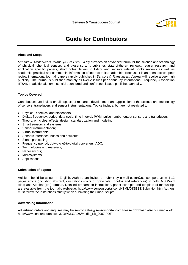

### **Guide for Contributors**

#### **Aims and Scope**

*Sensors & Transducers Journal (ISSN 1726- 5479)* provides an advanced forum for the science and technology of physical, chemical sensors and biosensors. It publishes state-of-the-art reviews, regular research and application specific papers, short notes, letters to Editor and sensors related books reviews as well as academic, practical and commercial information of interest to its readership. Because it is an open access, peer review international journal, papers rapidly published in *Sensors & Transducers Journal* will receive a very high publicity. The journal is published monthly as twelve issues per annual by International Frequency Association (IFSA). In additional, some special sponsored and conference issues published annually.

#### **Topics Covered**

Contributions are invited on all aspects of research, development and application of the science and technology of sensors, transducers and sensor instrumentations. Topics include, but are not restricted to:

- Physical, chemical and biosensors;
- Digital, frequency, period, duty-cycle, time interval, PWM, pulse number output sensors and transducers;
- Theory, principles, effects, design, standardization and modeling;
- Smart sensors and systems;
- Sensor instrumentation:
- Virtual instruments;
- Sensors interfaces, buses and networks;
- Signal processing;
- Frequency (period, duty-cycle)-to-digital converters, ADC;
- Technologies and materials;
- Nanosensors;
- Microsystems;
- Applications.

#### **Submission of papers**

Articles should be written in English. Authors are invited to submit by e-mail editor@sensorsportal.com 4-12 pages article (including abstract, illustrations (color or grayscale), photos and references) in both: MS Word (doc) and Acrobat (pdf) formats. Detailed preparation instructions, paper example and template of manuscript are available from the journal's webpage: http://www.sensorsportal.com/HTML/DIGEST/Submition.htm Authors must follow the instructions strictly when submitting their manuscripts.

#### **Advertising Information**

Advertising orders and enquires may be sent to sales@sensorsportal.com Please download also our media kit: http://www.sensorsportal.com/DOWNLOADS/Media\_Kit\_2007.PDF